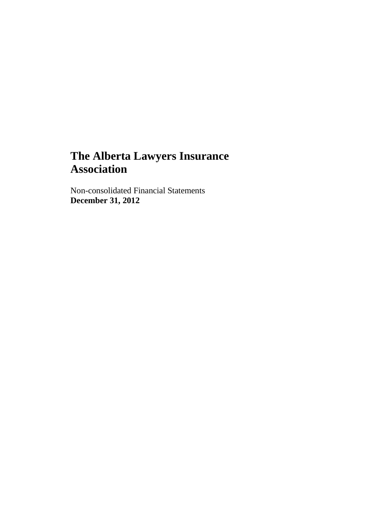Non-consolidated Financial Statements **December 31, 2012**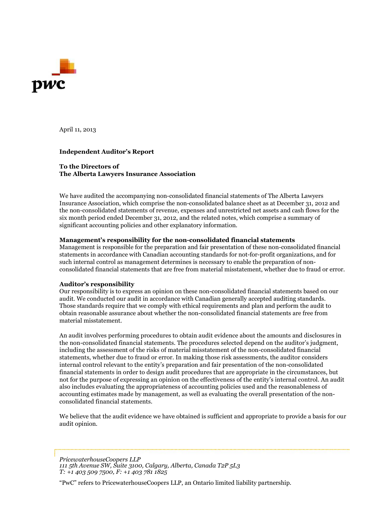

April 11, 2013

#### **Independent Auditor's Report**

#### **To the Directors of The Alberta Lawyers Insurance Association**

We have audited the accompanying non-consolidated financial statements of The Alberta Lawyers Insurance Association, which comprise the non-consolidated balance sheet as at December 31, 2012 and the non-consolidated statements of revenue, expenses and unrestricted net assets and cash flows for the six month period ended December 31, 2012, and the related notes, which comprise a summary of significant accounting policies and other explanatory information.

#### **Management's responsibility for the non-consolidated financial statements**

Management is responsible for the preparation and fair presentation of these non-consolidated financial statements in accordance with Canadian accounting standards for not-for-profit organizations, and for such internal control as management determines is necessary to enable the preparation of nonconsolidated financial statements that are free from material misstatement, whether due to fraud or error.

#### **Auditor's responsibility**

Our responsibility is to express an opinion on these non-consolidated financial statements based on our audit. We conducted our audit in accordance with Canadian generally accepted auditing standards. Those standards require that we comply with ethical requirements and plan and perform the audit to obtain reasonable assurance about whether the non-consolidated financial statements are free from material misstatement.

An audit involves performing procedures to obtain audit evidence about the amounts and disclosures in the non-consolidated financial statements. The procedures selected depend on the auditor's judgment, including the assessment of the risks of material misstatement of the non-consolidated financial statements, whether due to fraud or error. In making those risk assessments, the auditor considers internal control relevant to the entity's preparation and fair presentation of the non-consolidated financial statements in order to design audit procedures that are appropriate in the circumstances, but not for the purpose of expressing an opinion on the effectiveness of the entity's internal control. An audit also includes evaluating the appropriateness of accounting policies used and the reasonableness of accounting estimates made by management, as well as evaluating the overall presentation of the nonconsolidated financial statements.

We believe that the audit evidence we have obtained is sufficient and appropriate to provide a basis for our audit opinion.

*PricewaterhouseCoopers LLP 111 5th Avenue SW, Suite 3100, Calgary, Alberta, Canada T2P 5L3 T: +1 403 509 7500, F: +1 403 781 1825*

"PwC" refers to PricewaterhouseCoopers LLP, an Ontario limited liability partnership.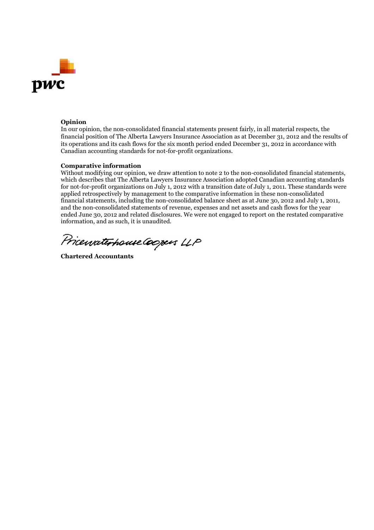

#### **Opinion**

In our opinion, the non-consolidated financial statements present fairly, in all material respects, the financial position of The Alberta Lawyers Insurance Association as at December 31, 2012 and the results of its operations and its cash flows for the six month period ended December 31, 2012 in accordance with Canadian accounting standards for not-for-profit organizations.

#### **Comparative information**

Without modifying our opinion, we draw attention to note 2 to the non-consolidated financial statements, which describes that The Alberta Lawyers Insurance Association adopted Canadian accounting standards for not-for-profit organizations on July 1, 2012 with a transition date of July 1, 2011. These standards were applied retrospectively by management to the comparative information in these non-consolidated financial statements, including the non-consolidated balance sheet as at June 30, 2012 and July 1, 2011, and the non-consolidated statements of revenue, expenses and net assets and cash flows for the year ended June 30, 2012 and related disclosures. We were not engaged to report on the restated comparative information, and as such, it is unaudited.

Pricewaterhouse Coopers LLP

**Chartered Accountants**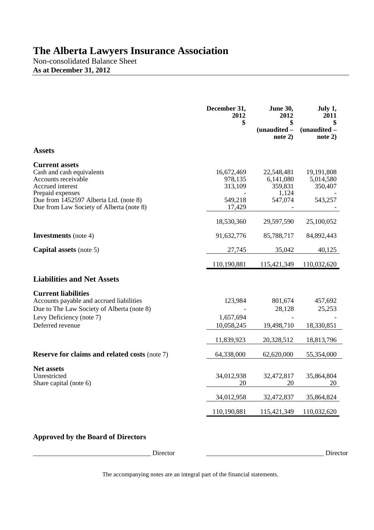Non-consolidated Balance Sheet **As at December 31, 2012**

|                                                                                                                                                                                                         | December 31,<br>2012<br>\$                            | <b>June 30,</b><br>2012<br>\$<br>$(unaudited -$<br>note $2)$ | July 1,<br>2011<br>\$<br>(unaudited -<br>note $2)$ |
|---------------------------------------------------------------------------------------------------------------------------------------------------------------------------------------------------------|-------------------------------------------------------|--------------------------------------------------------------|----------------------------------------------------|
| <b>Assets</b>                                                                                                                                                                                           |                                                       |                                                              |                                                    |
| <b>Current assets</b><br>Cash and cash equivalents<br>Accounts receivable<br>Accrued interest<br>Prepaid expenses<br>Due from 1452597 Alberta Ltd. (note 8)<br>Due from Law Society of Alberta (note 8) | 16,672,469<br>978,135<br>313,109<br>549,218<br>17,429 | 22,548,481<br>6,141,080<br>359,831<br>1,124<br>547,074       | 19,191,808<br>5,014,580<br>350,407<br>543,257      |
|                                                                                                                                                                                                         | 18,530,360                                            | 29,597,590                                                   | 25,100,052                                         |
| <b>Investments</b> (note 4)                                                                                                                                                                             | 91,632,776                                            | 85,788,717                                                   | 84,892,443                                         |
| <b>Capital assets</b> (note 5)                                                                                                                                                                          | 27,745                                                | 35,042                                                       | 40,125                                             |
|                                                                                                                                                                                                         | 110,190,881                                           | 115,421,349                                                  | 110,032,620                                        |
| <b>Liabilities and Net Assets</b>                                                                                                                                                                       |                                                       |                                                              |                                                    |
| <b>Current liabilities</b><br>Accounts payable and accrued liabilities<br>Due to The Law Society of Alberta (note 8)<br>Levy Deficiency (note 7)<br>Deferred revenue                                    | 123,984<br>1,657,694<br>10,058,245                    | 801,674<br>28,128<br>19,498,710                              | 457,692<br>25,253<br>18,330,851                    |
|                                                                                                                                                                                                         | 11,839,923                                            | 20,328,512                                                   | 18,813,796                                         |
| <b>Reserve for claims and related costs (note 7)</b><br>Net assets<br>Unrestricted<br>Share capital (note 6)                                                                                            | 64,338,000<br>34,012,938<br>20                        | 62,620,000<br>32,472,817<br>20                               | 55,354,000<br>35,864,804<br>20                     |
|                                                                                                                                                                                                         |                                                       |                                                              | 35,864,824                                         |
|                                                                                                                                                                                                         | 34,012,958                                            | 32,472,837                                                   |                                                    |

## **Approved by the Board of Directors**

\_\_\_\_\_\_\_\_\_\_\_\_\_\_\_\_\_\_\_\_\_\_\_\_\_\_\_\_\_\_\_\_\_\_\_ Director \_\_\_\_\_\_\_\_\_\_\_\_\_\_\_\_\_\_\_\_\_\_\_\_\_\_\_\_\_\_\_\_\_\_\_ Director

The accompanying notes are an integral part of the financial statements.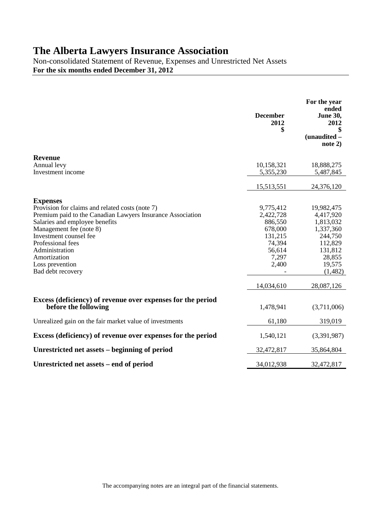Non-consolidated Statement of Revenue, Expenses and Unrestricted Net Assets **For the six months ended December 31, 2012**

|                                                                                     | <b>December</b><br>2012<br>\$ | For the year<br>ended<br><b>June 30,</b><br>2012<br>\$<br>(unaudited -<br>note $2)$ |
|-------------------------------------------------------------------------------------|-------------------------------|-------------------------------------------------------------------------------------|
| <b>Revenue</b>                                                                      |                               |                                                                                     |
| Annual levy                                                                         | 10,158,321                    | 18,888,275                                                                          |
| Investment income                                                                   | 5,355,230                     | 5,487,845                                                                           |
|                                                                                     | 15,513,551                    | 24,376,120                                                                          |
| <b>Expenses</b>                                                                     |                               |                                                                                     |
| Provision for claims and related costs (note 7)                                     | 9,775,412                     | 19,982,475                                                                          |
| Premium paid to the Canadian Lawyers Insurance Association                          | 2,422,728                     | 4,417,920                                                                           |
| Salaries and employee benefits                                                      | 886,550                       | 1,813,032                                                                           |
| Management fee (note 8)<br>Investment counsel fee                                   | 678,000<br>131,215            | 1,337,360<br>244,750                                                                |
| Professional fees                                                                   | 74,394                        | 112,829                                                                             |
| Administration                                                                      | 56,614                        | 131,812                                                                             |
| Amortization                                                                        | 7,297                         | 28,855                                                                              |
| Loss prevention                                                                     | 2,400                         | 19,575                                                                              |
| Bad debt recovery                                                                   |                               | (1,482)                                                                             |
|                                                                                     | 14,034,610                    | 28,087,126                                                                          |
| Excess (deficiency) of revenue over expenses for the period<br>before the following | 1,478,941                     | (3,711,006)                                                                         |
| Unrealized gain on the fair market value of investments                             | 61,180                        | 319,019                                                                             |
| Excess (deficiency) of revenue over expenses for the period                         | 1,540,121                     | (3,391,987)                                                                         |
| Unrestricted net assets – beginning of period                                       | 32,472,817                    | 35,864,804                                                                          |
| Unrestricted net assets – end of period                                             | 34,012,938                    | 32,472,817                                                                          |

The accompanying notes are an integral part of the financial statements.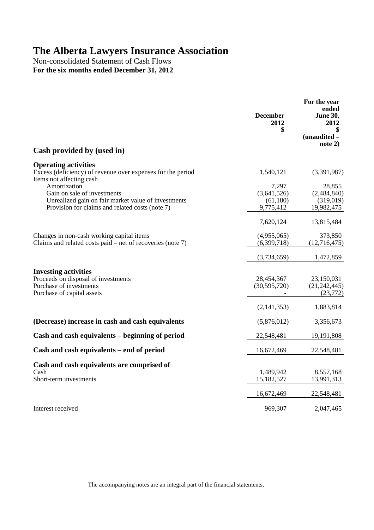Non-consolidated Statement of Cash Flows **For the six months ended December 31, 2012**

|                                                                                                                                                       | <b>December</b><br>2012<br>\$                 | For the year<br>ended<br><b>June 30,</b><br>2012<br>\$<br>(unaudited -<br>note 2) |
|-------------------------------------------------------------------------------------------------------------------------------------------------------|-----------------------------------------------|-----------------------------------------------------------------------------------|
| Cash provided by (used in)                                                                                                                            |                                               |                                                                                   |
| <b>Operating activities</b><br>Excess (deficiency) of revenue over expenses for the period<br>Items not affecting cash                                | 1,540,121                                     | (3,391,987)                                                                       |
| Amortization<br>Gain on sale of investments<br>Unrealized gain on fair market value of investments<br>Provision for claims and related costs (note 7) | 7,297<br>(3,641,526)<br>(61,180)<br>9,775,412 | 28,855<br>(2,484,840)<br>(319,019)<br>19,982,475                                  |
|                                                                                                                                                       | 7,620,124                                     | 13,815,484                                                                        |
| Changes in non-cash working capital items<br>Claims and related costs paid $-$ net of recoveries (note 7)                                             | (4,955,065)<br>(6,399,718)                    | 373,850<br>(12,716,475)                                                           |
|                                                                                                                                                       | (3,734,659)                                   | 1,472,859                                                                         |
| <b>Investing activities</b><br>Proceeds on disposal of investments<br>Purchase of investments<br>Purchase of capital assets                           | 28,454,367<br>(30,595,720)                    | 23,150,031<br>(21, 242, 445)<br>(23, 772)                                         |
|                                                                                                                                                       | (2, 141, 353)                                 | 1,883,814                                                                         |
| (Decrease) increase in cash and cash equivalents                                                                                                      | (5,876,012)                                   | 3,356,673                                                                         |
| Cash and cash equivalents – beginning of period                                                                                                       | 22,548,481                                    | 19,191,808                                                                        |
| Cash and cash equivalents – end of period                                                                                                             | 16,672,469                                    | 22,548,481                                                                        |
| Cash and cash equivalents are comprised of<br>Cash<br>Short-term investments                                                                          | 1,489,942<br>15,182,527                       | 8,557,168<br>13,991,313                                                           |
|                                                                                                                                                       | 16,672,469                                    | 22,548,481                                                                        |
| Interest received                                                                                                                                     | 969,307                                       | 2,047,465                                                                         |

The accompanying notes are an integral part of the financial statements.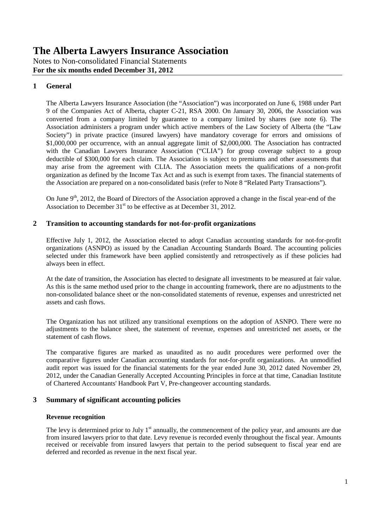Notes to Non-consolidated Financial Statements **For the six months ended December 31, 2012**

## **1 General**

The Alberta Lawyers Insurance Association (the "Association") was incorporated on June 6, 1988 under Part 9 of the Companies Act of Alberta, chapter C-21, RSA 2000. On January 30, 2006, the Association was converted from a company limited by guarantee to a company limited by shares (see note 6). The Association administers a program under which active members of the Law Society of Alberta (the "Law Society") in private practice (insured lawyers) have mandatory coverage for errors and omissions of \$1,000,000 per occurrence, with an annual aggregate limit of \$2,000,000. The Association has contracted with the Canadian Lawyers Insurance Association ("CLIA") for group coverage subject to a group deductible of \$300,000 for each claim. The Association is subject to premiums and other assessments that may arise from the agreement with CLIA. The Association meets the qualifications of a non-profit organization as defined by the Income Tax Act and as such is exempt from taxes. The financial statements of the Association are prepared on a non-consolidated basis (refer to Note 8 "Related Party Transactions").

On June  $9<sup>th</sup>$ , 2012, the Board of Directors of the Association approved a change in the fiscal year-end of the Association to December  $31<sup>st</sup>$  to be effective as at December 31, 2012.

### **2 Transition to accounting standards for not-for-profit organizations**

Effective July 1, 2012, the Association elected to adopt Canadian accounting standards for not-for-profit organizations (ASNPO) as issued by the Canadian Accounting Standards Board. The accounting policies selected under this framework have been applied consistently and retrospectively as if these policies had always been in effect.

At the date of transition, the Association has elected to designate all investments to be measured at fair value. As this is the same method used prior to the change in accounting framework, there are no adjustments to the non-consolidated balance sheet or the non-consolidated statements of revenue, expenses and unrestricted net assets and cash flows.

The Organization has not utilized any transitional exemptions on the adoption of ASNPO. There were no adjustments to the balance sheet, the statement of revenue, expenses and unrestricted net assets, or the statement of cash flows.

The comparative figures are marked as unaudited as no audit procedures were performed over the comparative figures under Canadian accounting standards for not-for-profit organizations. An unmodified audit report was issued for the financial statements for the year ended June 30, 2012 dated November 29, 2012, under the Canadian Generally Accepted Accounting Principles in force at that time, Canadian Institute of Chartered Accountants' Handbook Part V, Pre-changeover accounting standards.

### **3 Summary of significant accounting policies**

### **Revenue recognition**

The levy is determined prior to July  $1<sup>st</sup>$  annually, the commencement of the policy year, and amounts are due from insured lawyers prior to that date. Levy revenue is recorded evenly throughout the fiscal year. Amounts received or receivable from insured lawyers that pertain to the period subsequent to fiscal year end are deferred and recorded as revenue in the next fiscal year.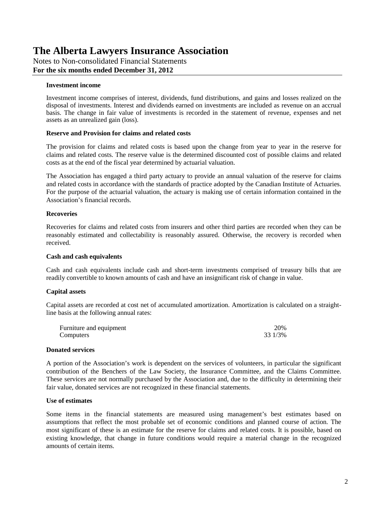Notes to Non-consolidated Financial Statements **For the six months ended December 31, 2012**

#### **Investment income**

Investment income comprises of interest, dividends, fund distributions, and gains and losses realized on the disposal of investments. Interest and dividends earned on investments are included as revenue on an accrual basis. The change in fair value of investments is recorded in the statement of revenue, expenses and net assets as an unrealized gain (loss).

#### **Reserve and Provision for claims and related costs**

The provision for claims and related costs is based upon the change from year to year in the reserve for claims and related costs. The reserve value is the determined discounted cost of possible claims and related costs as at the end of the fiscal year determined by actuarial valuation.

The Association has engaged a third party actuary to provide an annual valuation of the reserve for claims and related costs in accordance with the standards of practice adopted by the Canadian Institute of Actuaries. For the purpose of the actuarial valuation, the actuary is making use of certain information contained in the Association's financial records.

#### **Recoveries**

Recoveries for claims and related costs from insurers and other third parties are recorded when they can be reasonably estimated and collectability is reasonably assured. Otherwise, the recovery is recorded when received.

#### **Cash and cash equivalents**

Cash and cash equivalents include cash and short-term investments comprised of treasury bills that are readily convertible to known amounts of cash and have an insignificant risk of change in value.

#### **Capital assets**

Capital assets are recorded at cost net of accumulated amortization. Amortization is calculated on a straightline basis at the following annual rates:

| Furniture and equipment | 20%     |
|-------------------------|---------|
| Computers               | 33 1/3% |

#### **Donated services**

A portion of the Association's work is dependent on the services of volunteers, in particular the significant contribution of the Benchers of the Law Society, the Insurance Committee, and the Claims Committee. These services are not normally purchased by the Association and, due to the difficulty in determining their fair value, donated services are not recognized in these financial statements.

#### **Use of estimates**

Some items in the financial statements are measured using management's best estimates based on assumptions that reflect the most probable set of economic conditions and planned course of action. The most significant of these is an estimate for the reserve for claims and related costs. It is possible, based on existing knowledge, that change in future conditions would require a material change in the recognized amounts of certain items.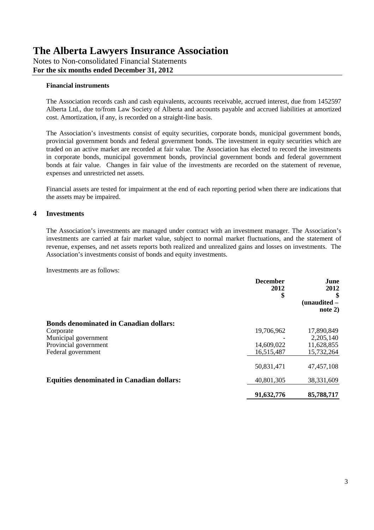Notes to Non-consolidated Financial Statements **For the six months ended December 31, 2012**

#### **Financial instruments**

The Association records cash and cash equivalents, accounts receivable, accrued interest, due from 1452597 Alberta Ltd., due to/from Law Society of Alberta and accounts payable and accrued liabilities at amortized cost. Amortization, if any, is recorded on a straight-line basis.

The Association's investments consist of equity securities, corporate bonds, municipal government bonds, provincial government bonds and federal government bonds. The investment in equity securities which are traded on an active market are recorded at fair value. The Association has elected to record the investments in corporate bonds, municipal government bonds, provincial government bonds and federal government bonds at fair value. Changes in fair value of the investments are recorded on the statement of revenue, expenses and unrestricted net assets.

Financial assets are tested for impairment at the end of each reporting period when there are indications that the assets may be impaired.

### **4 Investments**

The Association's investments are managed under contract with an investment manager. The Association's investments are carried at fair market value, subject to normal market fluctuations, and the statement of revenue, expenses, and net assets reports both realized and unrealized gains and losses on investments. The Association's investments consist of bonds and equity investments.

Investments are as follows:

|                                                  | <b>December</b><br>2012<br>\$ | June<br>2012<br>\$<br>$(unaudited -$<br>note $2)$ |
|--------------------------------------------------|-------------------------------|---------------------------------------------------|
| <b>Bonds denominated in Canadian dollars:</b>    |                               |                                                   |
| Corporate                                        | 19,706,962                    | 17,890,849                                        |
| Municipal government                             |                               | 2,205,140                                         |
| Provincial government                            | 14,609,022                    | 11,628,855                                        |
| Federal government                               | 16,515,487                    | 15,732,264                                        |
|                                                  | 50,831,471                    | 47, 457, 108                                      |
| <b>Equities denominated in Canadian dollars:</b> | 40,801,305                    | 38,331,609                                        |
|                                                  | 91,632,776                    | 85,788,717                                        |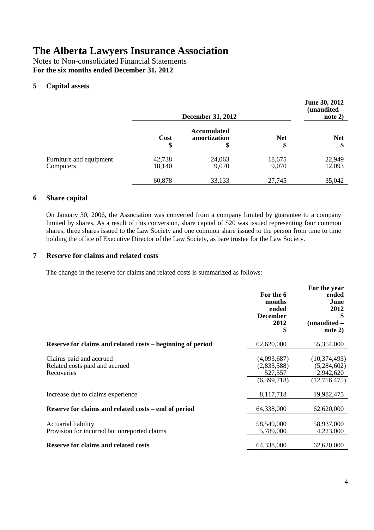Notes to Non-consolidated Financial Statements **For the six months ended December 31, 2012**

## **5 Capital assets**

|                                      | <b>December 31, 2012</b> |                                          |                  | June 30, 2012<br>$(unaudited -$<br>note $2)$ |
|--------------------------------------|--------------------------|------------------------------------------|------------------|----------------------------------------------|
|                                      | Cost<br>\$               | <b>Accumulated</b><br>amortization<br>\$ | <b>Net</b><br>\$ | <b>Net</b><br>\$                             |
| Furniture and equipment<br>Computers | 42,738<br>18,140         | 24,063<br>9,070                          | 18,675<br>9,070  | 22,949<br>12,093                             |
|                                      | 60,878                   | 33,133                                   | 27,745           | 35,042                                       |

## **6 Share capital**

On January 30, 2006, the Association was converted from a company limited by guarantee to a company limited by shares. As a result of this conversion, share capital of \$20 was issued representing four common shares; three shares issued to the Law Society and one common share issued to the person from time to time holding the office of Executive Director of the Law Society, as bare trustee for the Law Society.

### **7 Reserve for claims and related costs**

The change in the reserve for claims and related costs is summarized as follows:

|                                                                         | For the 6<br>months<br>ended<br><b>December</b><br>2012<br>\$ | For the year<br>ended<br>June<br>2012<br>\$<br>(unaudited -<br>note 2)    |
|-------------------------------------------------------------------------|---------------------------------------------------------------|---------------------------------------------------------------------------|
| Reserve for claims and related costs – beginning of period              | 62,620,000                                                    | 55,354,000                                                                |
| Claims paid and accrued<br>Related costs paid and accrued<br>Recoveries | (4,093,687)<br>(2,833,588)<br>527,557<br>(6,399,718)          | (10, 374, 493)<br>(5,284,602)<br>2,942,620<br>$\overline{(12, 716, 475)}$ |
| Increase due to claims experience                                       | 8,117,718                                                     | 19,982,475                                                                |
| Reserve for claims and related costs - end of period                    | 64,338,000                                                    | 62,620,000                                                                |
| Actuarial liability<br>Provision for incurred but unreported claims     | 58,549,000<br>5,789,000                                       | 58,937,000<br>4,223,000                                                   |
| <b>Reserve for claims and related costs</b>                             | 64,338,000                                                    | 62,620,000                                                                |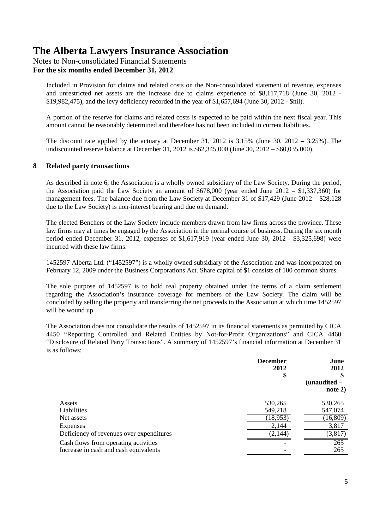## Notes to Non-consolidated Financial Statements **For the six months ended December 31, 2012**

Included in Provision for claims and related costs on the Non-consolidated statement of revenue, expenses and unrestricted net assets are the increase due to claims experience of \$8,117,718 (June 30, 2012 - \$19,982,475), and the levy deficiency recorded in the year of \$1,657,694 (June 30, 2012 - \$nil).

A portion of the reserve for claims and related costs is expected to be paid within the next fiscal year. This amount cannot be reasonably determined and therefore has not been included in current liabilities.

The discount rate applied by the actuary at December 31, 2012 is 3.15% (June 30, 2012 – 3.25%). The undiscounted reserve balance at December 31, 2012 is \$62,345,000 (June 30, 2012 – \$60,035,000).

### **8 Related party transactions**

As described in note 6, the Association is a wholly owned subsidiary of the Law Society. During the period, the Association paid the Law Society an amount of  $$678,000$  (year ended June 2012 – \$1,337,360) for management fees. The balance due from the Law Society at December 31 of \$17,429 (June 2012 – \$28,128 due to the Law Society) is non-interest bearing and due on demand.

The elected Benchers of the Law Society include members drawn from law firms across the province. These law firms may at times be engaged by the Association in the normal course of business. During the six month period ended December 31, 2012, expenses of \$1,617,919 (year ended June 30, 2012 - \$3,325,698) were incurred with these law firms.

1452597 Alberta Ltd. ("1452597") is a wholly owned subsidiary of the Association and was incorporated on February 12, 2009 under the Business Corporations Act. Share capital of \$1 consists of 100 common shares.

The sole purpose of 1452597 is to hold real property obtained under the terms of a claim settlement regarding the Association's insurance coverage for members of the Law Society. The claim will be concluded by selling the property and transferring the net proceeds to the Association at which time 1452597 will be wound up.

The Association does not consolidate the results of 1452597 in its financial statements as permitted by CICA 4450 "Reporting Controlled and Related Entities by Not-for-Profit Organizations" and CICA 4460 "Disclosure of Related Party Transactions". A summary of 1452597's financial information at December 31 is as follows:

|                                                                               | <b>December</b><br>2012<br>\$ | June<br>2012<br>$(unaudited -$<br>note $2)$ |  |
|-------------------------------------------------------------------------------|-------------------------------|---------------------------------------------|--|
| Assets                                                                        | 530,265                       | 530,265                                     |  |
| Liabilities                                                                   | 549,218                       | 547,074                                     |  |
| Net assets                                                                    | (18,953)                      | (16, 809)                                   |  |
| Expenses                                                                      | 2,144                         | 3,817                                       |  |
| Deficiency of revenues over expenditures                                      | (2, 144)                      | (3, 817)                                    |  |
| Cash flows from operating activities<br>Increase in cash and cash equivalents |                               | 265<br>265                                  |  |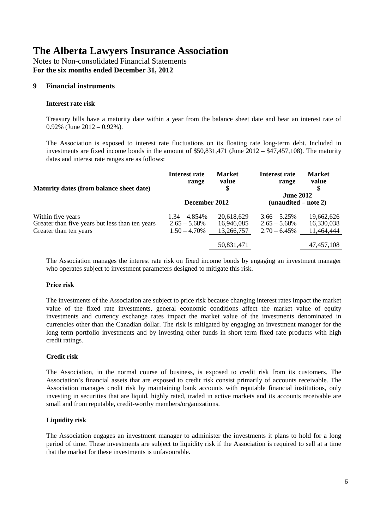Notes to Non-consolidated Financial Statements **For the six months ended December 31, 2012**

## **9 Financial instruments**

#### **Interest rate risk**

Treasury bills have a maturity date within a year from the balance sheet date and bear an interest rate of  $0.92\%$  (June  $2012 - 0.92\%$ ).

The Association is exposed to interest rate fluctuations on its floating rate long-term debt. Included in investments are fixed income bonds in the amount of \$50,831,471 (June 2012 – \$47,457,108). The maturity dates and interest rate ranges are as follows:

| Maturity dates (from balance sheet date)        | Interest rate    | <b>Market</b> | Interest rate                              | <b>Market</b> |
|-------------------------------------------------|------------------|---------------|--------------------------------------------|---------------|
|                                                 | range            | value         | range                                      | value         |
|                                                 | December 2012    |               | <b>June 2012</b><br>$(unaudited - note 2)$ |               |
| Within five years                               | $1.34 - 4.854\%$ | 20,618,629    | $3.66 - 5.25\%$                            | 19,662,626    |
| Greater than five years but less than ten years | $2.65 - 5.68\%$  | 16,946,085    | $2.65 - 5.68\%$                            | 16,330,038    |
| Greater than ten years                          | $1.50 - 4.70\%$  | 13,266,757    | $2.70 - 6.45\%$                            | 11,464,444    |
|                                                 |                  | 50,831,471    |                                            | 47, 457, 108  |

The Association manages the interest rate risk on fixed income bonds by engaging an investment manager who operates subject to investment parameters designed to mitigate this risk.

### **Price risk**

The investments of the Association are subject to price risk because changing interest rates impact the market value of the fixed rate investments, general economic conditions affect the market value of equity investments and currency exchange rates impact the market value of the investments denominated in currencies other than the Canadian dollar. The risk is mitigated by engaging an investment manager for the long term portfolio investments and by investing other funds in short term fixed rate products with high credit ratings.

### **Credit risk**

The Association, in the normal course of business, is exposed to credit risk from its customers. The Association's financial assets that are exposed to credit risk consist primarily of accounts receivable. The Association manages credit risk by maintaining bank accounts with reputable financial institutions, only investing in securities that are liquid, highly rated, traded in active markets and its accounts receivable are small and from reputable, credit-worthy members/organizations.

### **Liquidity risk**

The Association engages an investment manager to administer the investments it plans to hold for a long period of time. These investments are subject to liquidity risk if the Association is required to sell at a time that the market for these investments is unfavourable.